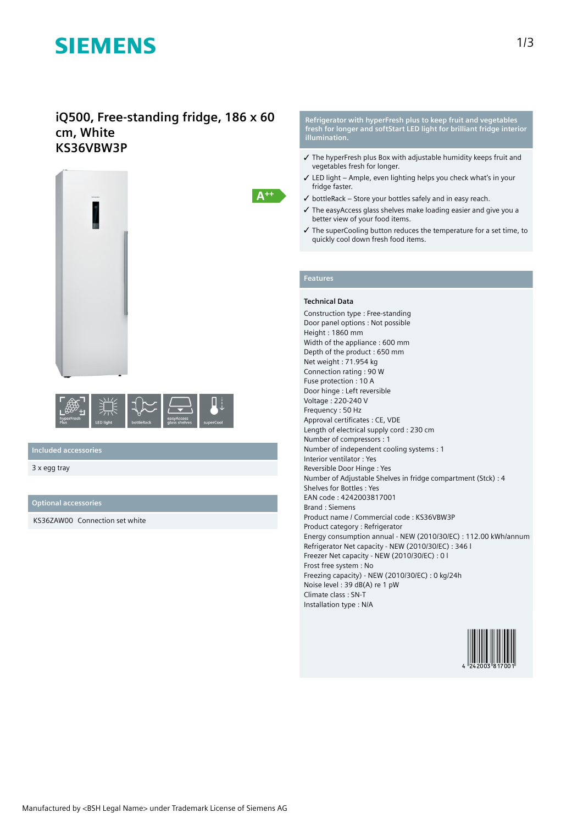# **SIEMENS**

### **iQ500, Free-standing fridge, 186 x 60 cm, White KS36VBW3P**





**Included accessories**

3 x egg tray

**Optional accessories**

KS36ZAW00 Connection set white

**Refrigerator with hyperFresh plus to keep fruit and vegetables fresh for longer and softStart LED light for brilliant fridge interior illumination.**

- ✓ The hyperFresh plus Box with adjustable humidity keeps fruit and vegetables fresh for longer.
- ✓ LED light Ample, even lighting helps you check what's in your fridge faster.
- $\checkmark$  bottleRack Store your bottles safely and in easy reach.
- ✓ The easyAccess glass shelves make loading easier and give you a better view of your food items.
- ✓ The superCooling button reduces the temperature for a set time, to quickly cool down fresh food items.

### **Features**

 $A^{++}$ 

#### **Technical Data**

Construction type : Free-standing Door panel options : Not possible Height : 1860 mm Width of the appliance : 600 mm Depth of the product : 650 mm Net weight : 71.954 kg Connection rating : 90 W Fuse protection : 10 A Door hinge : Left reversible Voltage : 220-240 V Frequency : 50 Hz Approval certificates : CE, VDE Length of electrical supply cord : 230 cm Number of compressors : 1 Number of independent cooling systems : 1 Interior ventilator : Yes Reversible Door Hinge : Yes Number of Adjustable Shelves in fridge compartment (Stck) : 4 Shelves for Bottles : Yes EAN code : 4242003817001 Brand : Siemens Product name / Commercial code : KS36VBW3P Product category : Refrigerator Energy consumption annual - NEW (2010/30/EC) : 112.00 kWh/annum Refrigerator Net capacity - NEW (2010/30/EC) : 346 l Freezer Net capacity - NEW (2010/30/EC) : 0 l Frost free system : No Freezing capacity) - NEW (2010/30/EC) : 0 kg/24h Noise level : 39 dB(A) re 1 pW Climate class : SN-T Installation type : N/A

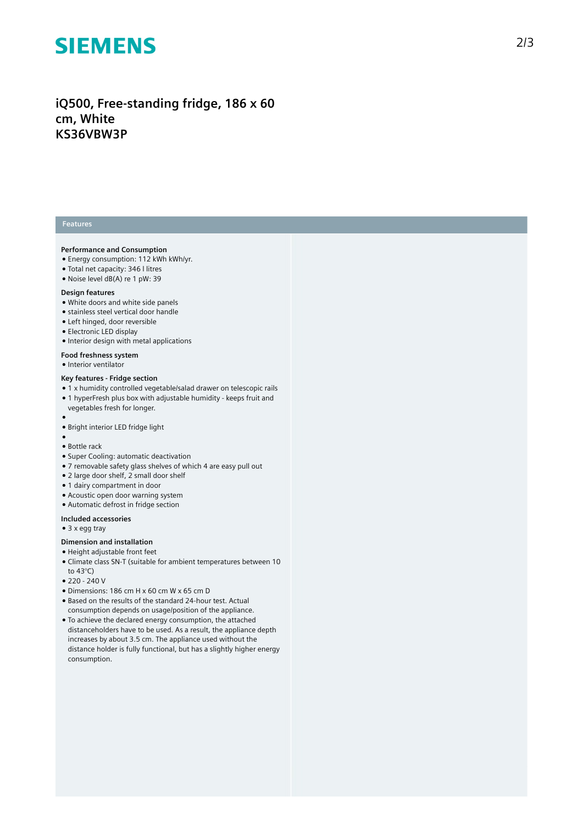# **SIEMENS**

### iQ500, Free-standing fridge, 186 x 60 **c m , W h i t e K S 3 6 V B W 3 P**

#### **Features**

#### Performance and Consumption

- Energy consumption: 112 kWh kWh/yr.
- Total net capacity: 346 I litres
- Noise level dB(A) re 1 pW: 39

#### Design features

- White doors and white side panels
- stainless steel vertical door handle
- Left hinged, door reversible
- Electronic LED display
- Interior design with metal applications

#### Food freshness system

• Interior ventilator

#### Key features - Fridge section

- 1 x humidity controlled vegetable/salad drawer on telescopic rails • 1 hyperFresh plus box with adjustable humidity - keeps fruit and vegetables fresh for longer.
- 
- ●<br>● Bright interior LED fridge light
- 
- ●<br>● Bottle rack
- Super Cooling: automatic deactivation
- 7 removable safety glass shelves of which 4 are easy pull out
- 2 large door shelf, 2 small door shelf
- 1 dairy compartment in door
- Acoustic open door warning system
- Automatic defrost in fridge section

#### Included accessories

• 3 x egg tray

#### Dimension and installation

- Height adjustable front feet
- Climate class SN-T (suitable for ambient temperatures between 10 to 43°C)
- 220 240 V
- $\bullet$  Dimensions: 186 cm H x 60 cm W x 65 cm D
- Based on the results of the standard 24-hour test. Actual consumption depends on usage/position of the applianc e .
- To achieve the declared energy consumption, the attached distanceholders have to be used. As a result, the appliance depth increases by about 3.5 cm. The appliance used without the distance holder is fully functional, but has a slightly higher energy consumption.